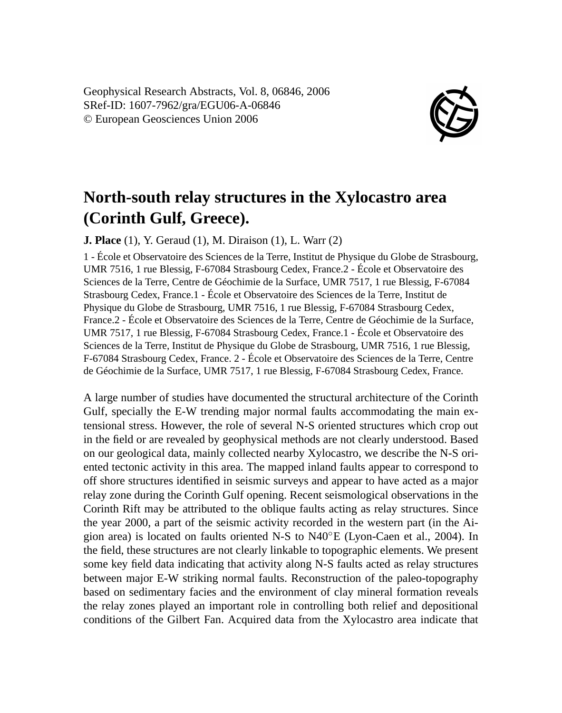Geophysical Research Abstracts, Vol. 8, 06846, 2006 SRef-ID: 1607-7962/gra/EGU06-A-06846 © European Geosciences Union 2006



## **North-south relay structures in the Xylocastro area (Corinth Gulf, Greece).**

**J. Place** (1), Y. Geraud (1), M. Diraison (1), L. Warr (2)

1 - École et Observatoire des Sciences de la Terre, Institut de Physique du Globe de Strasbourg, UMR 7516, 1 rue Blessig, F-67084 Strasbourg Cedex, France.2 - École et Observatoire des Sciences de la Terre, Centre de Géochimie de la Surface, UMR 7517, 1 rue Blessig, F-67084 Strasbourg Cedex, France.1 - École et Observatoire des Sciences de la Terre, Institut de Physique du Globe de Strasbourg, UMR 7516, 1 rue Blessig, F-67084 Strasbourg Cedex, France.2 - École et Observatoire des Sciences de la Terre, Centre de Géochimie de la Surface, UMR 7517, 1 rue Blessig, F-67084 Strasbourg Cedex, France.1 - École et Observatoire des Sciences de la Terre, Institut de Physique du Globe de Strasbourg, UMR 7516, 1 rue Blessig, F-67084 Strasbourg Cedex, France. 2 - École et Observatoire des Sciences de la Terre, Centre de Géochimie de la Surface, UMR 7517, 1 rue Blessig, F-67084 Strasbourg Cedex, France.

A large number of studies have documented the structural architecture of the Corinth Gulf, specially the E-W trending major normal faults accommodating the main extensional stress. However, the role of several N-S oriented structures which crop out in the field or are revealed by geophysical methods are not clearly understood. Based on our geological data, mainly collected nearby Xylocastro, we describe the N-S oriented tectonic activity in this area. The mapped inland faults appear to correspond to off shore structures identified in seismic surveys and appear to have acted as a major relay zone during the Corinth Gulf opening. Recent seismological observations in the Corinth Rift may be attributed to the oblique faults acting as relay structures. Since the year 2000, a part of the seismic activity recorded in the western part (in the Aigion area) is located on faults oriented N-S to N40◦E (Lyon-Caen et al., 2004). In the field, these structures are not clearly linkable to topographic elements. We present some key field data indicating that activity along N-S faults acted as relay structures between major E-W striking normal faults. Reconstruction of the paleo-topography based on sedimentary facies and the environment of clay mineral formation reveals the relay zones played an important role in controlling both relief and depositional conditions of the Gilbert Fan. Acquired data from the Xylocastro area indicate that